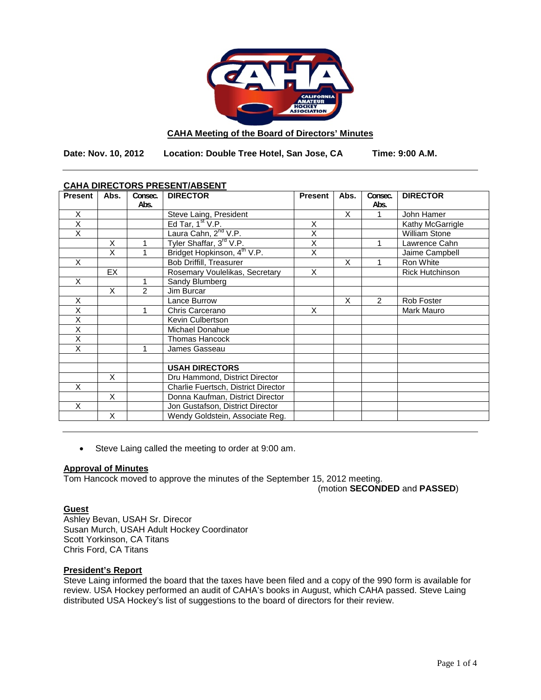

### **CAHA Meeting of the Board of Directors' Minutes**

**Date: Nov. 10, 2012 Location: Double Tree Hotel, San Jose, CA Time: 9:00 A.M.**

| CAHA DIRECTORS PRESENT/ABSENT |      |               |                                         |                         |      |         |                        |
|-------------------------------|------|---------------|-----------------------------------------|-------------------------|------|---------|------------------------|
| <b>Present</b>                | Abs. | Consec.       | <b>DIRECTOR</b>                         | <b>Present</b>          | Abs. | Consec. | <b>DIRECTOR</b>        |
|                               |      | Abs.          |                                         |                         |      | Abs.    |                        |
| X                             |      |               | Steve Laing, President                  |                         | X    |         | John Hamer             |
| $\overline{\mathsf{x}}$       |      |               | Ed Tar, $1st V.P.$                      | X                       |      |         | Kathy McGarrigle       |
| X                             |      |               | Laura Cahn, 2 <sup>nd</sup> V.P.        | X                       |      |         | <b>William Stone</b>   |
|                               | X    | 1             | Tyler Shaffar, 3 <sup>rd</sup> V.P.     | $\overline{\mathsf{x}}$ |      |         | Lawrence Cahn          |
|                               | X    | 1             | Bridget Hopkinson, 4 <sup>th</sup> V.P. | X                       |      |         | Jaime Campbell         |
| X                             |      |               | Bob Driffill, Treasurer                 |                         | X    |         | Ron White              |
|                               | EX   |               | Rosemary Voulelikas, Secretary          | X                       |      |         | <b>Rick Hutchinson</b> |
| X                             |      | 1             | Sandy Blumberg                          |                         |      |         |                        |
|                               | X    | $\mathcal{P}$ | Jim Burcar                              |                         |      |         |                        |
| X                             |      |               | Lance Burrow                            |                         | X    | 2       | Rob Foster             |
| X                             |      | 1             | Chris Carcerano                         | X                       |      |         | Mark Mauro             |
| X                             |      |               | Kevin Culbertson                        |                         |      |         |                        |
| $\overline{\mathsf{x}}$       |      |               | Michael Donahue                         |                         |      |         |                        |
| X                             |      |               | <b>Thomas Hancock</b>                   |                         |      |         |                        |
| X                             |      | 1             | James Gasseau                           |                         |      |         |                        |
|                               |      |               |                                         |                         |      |         |                        |
|                               |      |               | <b>USAH DIRECTORS</b>                   |                         |      |         |                        |
|                               | X    |               | Dru Hammond, District Director          |                         |      |         |                        |
| X                             |      |               | Charlie Fuertsch, District Director     |                         |      |         |                        |
|                               | X    |               | Donna Kaufman, District Director        |                         |      |         |                        |
| $\times$                      |      |               | Jon Gustafson, District Director        |                         |      |         |                        |
|                               | X    |               | Wendy Goldstein, Associate Reg.         |                         |      |         |                        |

# **CAHA DIRECTORS PRESENT/ABSENT**

• Steve Laing called the meeting to order at 9:00 am.

### **Approval of Minutes**

Tom Hancock moved to approve the minutes of the September 15, 2012 meeting.

(motion **SECONDED** and **PASSED**)

### **Guest**

Ashley Bevan, USAH Sr. Direcor Susan Murch, USAH Adult Hockey Coordinator Scott Yorkinson, CA Titans Chris Ford, CA Titans

## **President's Report**

Steve Laing informed the board that the taxes have been filed and a copy of the 990 form is available for review. USA Hockey performed an audit of CAHA's books in August, which CAHA passed. Steve Laing distributed USA Hockey's list of suggestions to the board of directors for their review.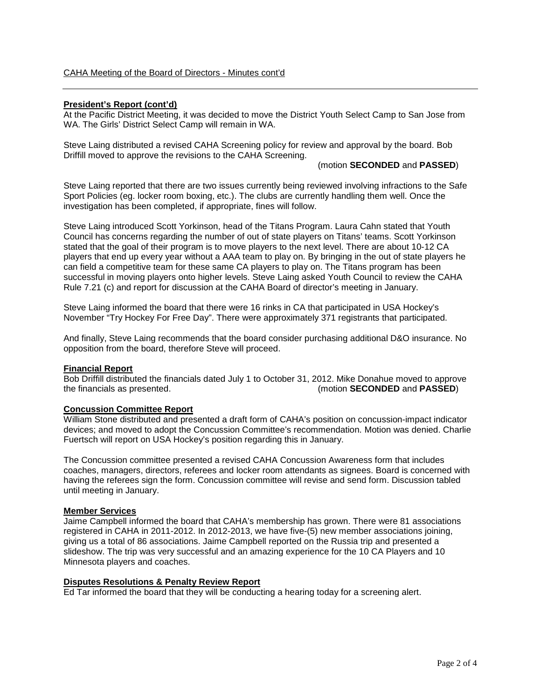### **President's Report (cont'd)**

At the Pacific District Meeting, it was decided to move the District Youth Select Camp to San Jose from WA. The Girls' District Select Camp will remain in WA.

Steve Laing distributed a revised CAHA Screening policy for review and approval by the board. Bob Driffill moved to approve the revisions to the CAHA Screening.

(motion **SECONDED** and **PASSED**)

Steve Laing reported that there are two issues currently being reviewed involving infractions to the Safe Sport Policies (eg. locker room boxing, etc.). The clubs are currently handling them well. Once the investigation has been completed, if appropriate, fines will follow.

Steve Laing introduced Scott Yorkinson, head of the Titans Program. Laura Cahn stated that Youth Council has concerns regarding the number of out of state players on Titans' teams. Scott Yorkinson stated that the goal of their program is to move players to the next level. There are about 10-12 CA players that end up every year without a AAA team to play on. By bringing in the out of state players he can field a competitive team for these same CA players to play on. The Titans program has been successful in moving players onto higher levels. Steve Laing asked Youth Council to review the CAHA Rule 7.21 (c) and report for discussion at the CAHA Board of director's meeting in January.

Steve Laing informed the board that there were 16 rinks in CA that participated in USA Hockey's November "Try Hockey For Free Day". There were approximately 371 registrants that participated.

And finally, Steve Laing recommends that the board consider purchasing additional D&O insurance. No opposition from the board, therefore Steve will proceed.

#### **Financial Report**

Bob Driffill distributed the financials dated July 1 to October 31, 2012. Mike Donahue moved to approve (motion **SECONDED** and **PASSED**)

#### **Concussion Committee Report**

William Stone distributed and presented a draft form of CAHA's position on concussion-impact indicator devices; and moved to adopt the Concussion Committee's recommendation. Motion was denied. Charlie Fuertsch will report on USA Hockey's position regarding this in January.

The Concussion committee presented a revised CAHA Concussion Awareness form that includes coaches, managers, directors, referees and locker room attendants as signees. Board is concerned with having the referees sign the form. Concussion committee will revise and send form. Discussion tabled until meeting in January.

#### **Member Services**

Jaime Campbell informed the board that CAHA's membership has grown. There were 81 associations registered in CAHA in 2011-2012. In 2012-2013, we have five-(5) new member associations joining, giving us a total of 86 associations. Jaime Campbell reported on the Russia trip and presented a slideshow. The trip was very successful and an amazing experience for the 10 CA Players and 10 Minnesota players and coaches.

#### **Disputes Resolutions & Penalty Review Report**

Ed Tar informed the board that they will be conducting a hearing today for a screening alert.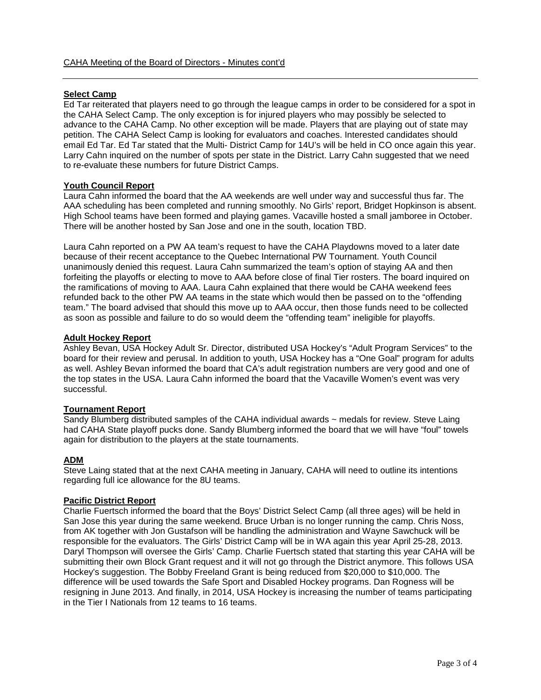### **Select Camp**

Ed Tar reiterated that players need to go through the league camps in order to be considered for a spot in the CAHA Select Camp. The only exception is for injured players who may possibly be selected to advance to the CAHA Camp. No other exception will be made. Players that are playing out of state may petition. The CAHA Select Camp is looking for evaluators and coaches. Interested candidates should email Ed Tar. Ed Tar stated that the Multi- District Camp for 14U's will be held in CO once again this year. Larry Cahn inquired on the number of spots per state in the District. Larry Cahn suggested that we need to re-evaluate these numbers for future District Camps.

#### **Youth Council Report**

Laura Cahn informed the board that the AA weekends are well under way and successful thus far. The AAA scheduling has been completed and running smoothly. No Girls' report, Bridget Hopkinson is absent. High School teams have been formed and playing games. Vacaville hosted a small jamboree in October. There will be another hosted by San Jose and one in the south, location TBD.

Laura Cahn reported on a PW AA team's request to have the CAHA Playdowns moved to a later date because of their recent acceptance to the Quebec International PW Tournament. Youth Council unanimously denied this request. Laura Cahn summarized the team's option of staying AA and then forfeiting the playoffs or electing to move to AAA before close of final Tier rosters. The board inquired on the ramifications of moving to AAA. Laura Cahn explained that there would be CAHA weekend fees refunded back to the other PW AA teams in the state which would then be passed on to the "offending team." The board advised that should this move up to AAA occur, then those funds need to be collected as soon as possible and failure to do so would deem the "offending team" ineligible for playoffs.

#### **Adult Hockey Report**

Ashley Bevan, USA Hockey Adult Sr. Director, distributed USA Hockey's "Adult Program Services" to the board for their review and perusal. In addition to youth, USA Hockey has a "One Goal" program for adults as well. Ashley Bevan informed the board that CA's adult registration numbers are very good and one of the top states in the USA. Laura Cahn informed the board that the Vacaville Women's event was very successful.

### **Tournament Report**

Sandy Blumberg distributed samples of the CAHA individual awards ~ medals for review. Steve Laing had CAHA State playoff pucks done. Sandy Blumberg informed the board that we will have "foul" towels again for distribution to the players at the state tournaments.

### **ADM**

Steve Laing stated that at the next CAHA meeting in January, CAHA will need to outline its intentions regarding full ice allowance for the 8U teams.

### **Pacific District Report**

Charlie Fuertsch informed the board that the Boys' District Select Camp (all three ages) will be held in San Jose this year during the same weekend. Bruce Urban is no longer running the camp. Chris Noss, from AK together with Jon Gustafson will be handling the administration and Wayne Sawchuck will be responsible for the evaluators. The Girls' District Camp will be in WA again this year April 25-28, 2013. Daryl Thompson will oversee the Girls' Camp. Charlie Fuertsch stated that starting this year CAHA will be submitting their own Block Grant request and it will not go through the District anymore. This follows USA Hockey's suggestion. The Bobby Freeland Grant is being reduced from \$20,000 to \$10,000. The difference will be used towards the Safe Sport and Disabled Hockey programs. Dan Rogness will be resigning in June 2013. And finally, in 2014, USA Hockey is increasing the number of teams participating in the Tier I Nationals from 12 teams to 16 teams.